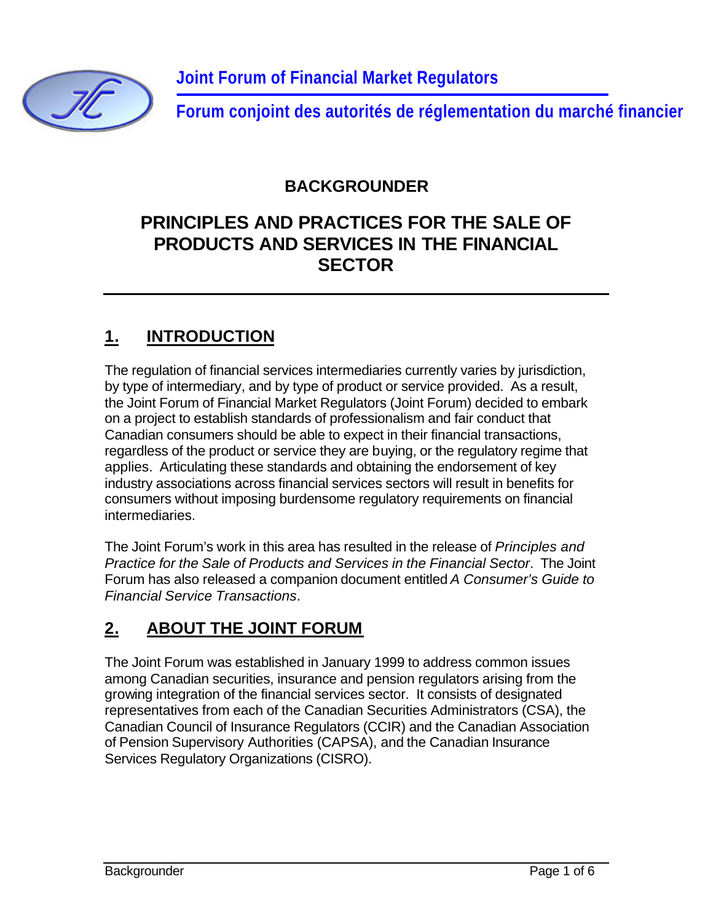

**Forum conjoint des autorités de réglementation du marché financier**

### **BACKGROUNDER**

## **PRINCIPLES AND PRACTICES FOR THE SALE OF PRODUCTS AND SERVICES IN THE FINANCIAL SECTOR**

### **1. INTRODUCTION**

The regulation of financial services intermediaries currently varies by jurisdiction, by type of intermediary, and by type of product or service provided. As a result, the Joint Forum of Financial Market Regulators (Joint Forum) decided to embark on a project to establish standards of professionalism and fair conduct that Canadian consumers should be able to expect in their financial transactions, regardless of the product or service they are buying, or the regulatory regime that applies. Articulating these standards and obtaining the endorsement of key industry associations across financial services sectors will result in benefits for consumers without imposing burdensome regulatory requirements on financial intermediaries.

The Joint Forum's work in this area has resulted in the release of *Principles and Practice for the Sale of Products and Services in the Financial Sector*. The Joint Forum has also released a companion document entitled *A Consumer's Guide to Financial Service Transactions*.

## **2. ABOUT THE JOINT FORUM**

The Joint Forum was established in January 1999 to address common issues among Canadian securities, insurance and pension regulators arising from the growing integration of the financial services sector. It consists of designated representatives from each of the Canadian Securities Administrators (CSA), the Canadian Council of Insurance Regulators (CCIR) and the Canadian Association of Pension Supervisory Authorities (CAPSA), and the Canadian Insurance Services Regulatory Organizations (CISRO).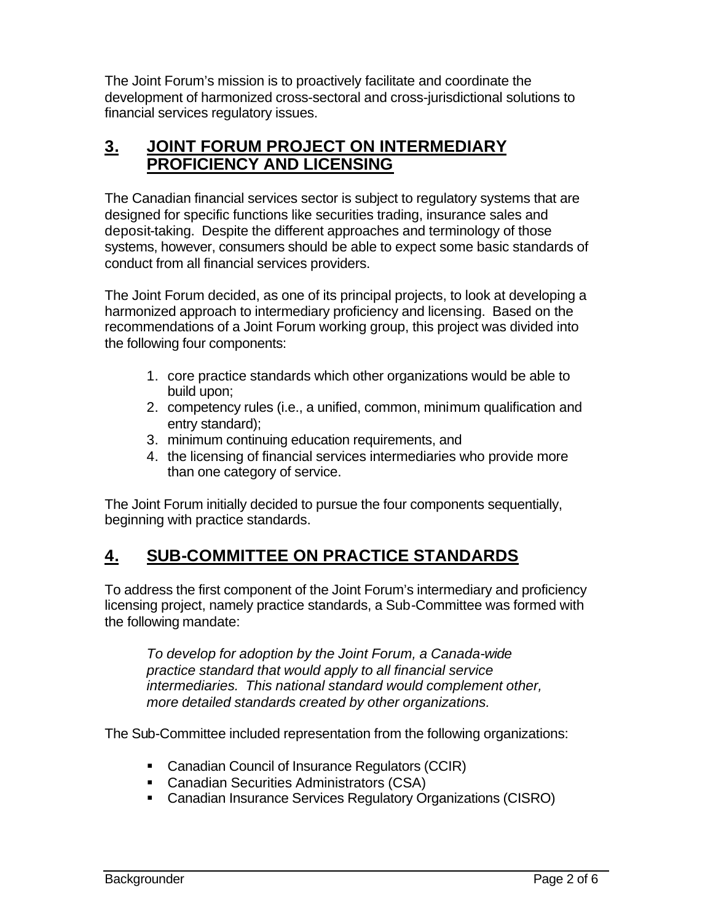The Joint Forum's mission is to proactively facilitate and coordinate the development of harmonized cross-sectoral and cross-jurisdictional solutions to financial services regulatory issues.

### **3. JOINT FORUM PROJECT ON INTERMEDIARY PROFICIENCY AND LICENSING**

The Canadian financial services sector is subject to regulatory systems that are designed for specific functions like securities trading, insurance sales and deposit-taking. Despite the different approaches and terminology of those systems, however, consumers should be able to expect some basic standards of conduct from all financial services providers.

The Joint Forum decided, as one of its principal projects, to look at developing a harmonized approach to intermediary proficiency and licensing. Based on the recommendations of a Joint Forum working group, this project was divided into the following four components:

- 1. core practice standards which other organizations would be able to build upon;
- 2. competency rules (i.e., a unified, common, minimum qualification and entry standard);
- 3. minimum continuing education requirements, and
- 4. the licensing of financial services intermediaries who provide more than one category of service.

The Joint Forum initially decided to pursue the four components sequentially, beginning with practice standards.

## **4. SUB-COMMITTEE ON PRACTICE STANDARDS**

To address the first component of the Joint Forum's intermediary and proficiency licensing project, namely practice standards, a Sub-Committee was formed with the following mandate:

*To develop for adoption by the Joint Forum, a Canada-wide practice standard that would apply to all financial service intermediaries. This national standard would complement other, more detailed standards created by other organizations.* 

The Sub-Committee included representation from the following organizations:

- Canadian Council of Insurance Regulators (CCIR)
- Canadian Securities Administrators (CSA)
- **EXEC** Canadian Insurance Services Regulatory Organizations (CISRO)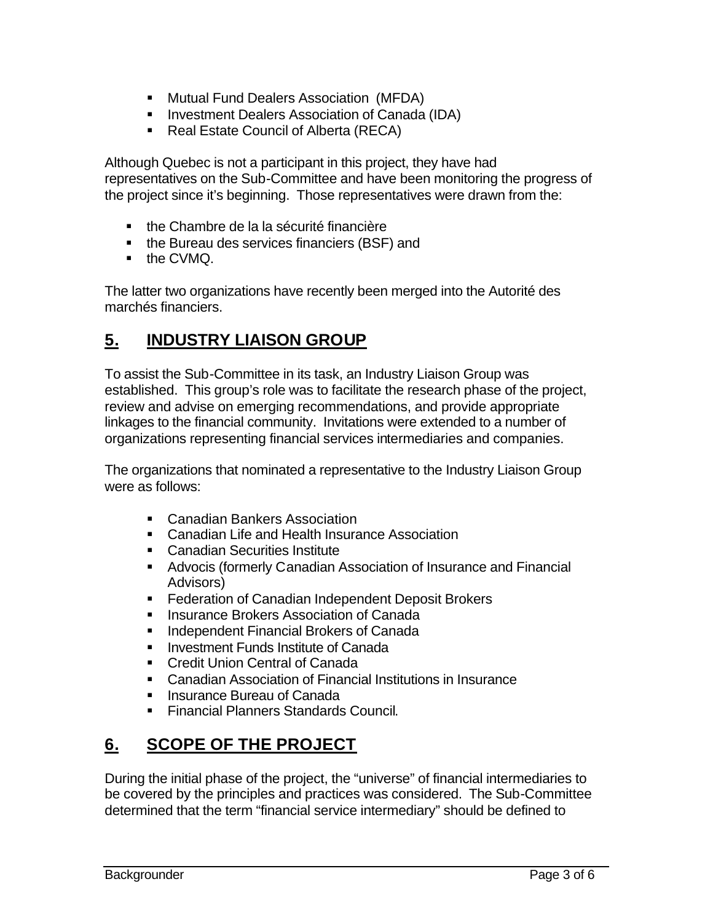- **Mutual Fund Dealers Association (MFDA)**
- **E** Investment Dealers Association of Canada (IDA)
- Real Estate Council of Alberta (RECA)

Although Quebec is not a participant in this project, they have had representatives on the Sub-Committee and have been monitoring the progress of the project since it's beginning. Those representatives were drawn from the:

- the Chambre de la la sécurité financière
- **•** the Bureau des services financiers (BSF) and
- $\blacksquare$  the CVMQ.

The latter two organizations have recently been merged into the Autorité des marchés financiers.

### **5. INDUSTRY LIAISON GROUP**

To assist the Sub-Committee in its task, an Industry Liaison Group was established. This group's role was to facilitate the research phase of the project, review and advise on emerging recommendations, and provide appropriate linkages to the financial community. Invitations were extended to a number of organizations representing financial services intermediaries and companies.

The organizations that nominated a representative to the Industry Liaison Group were as follows:

- Canadian Bankers Association
- Canadian Life and Health Insurance Association
- Canadian Securities Institute
- **Advocis (formerly Canadian Association of Insurance and Financial** Advisors)
- **Federation of Canadian Independent Deposit Brokers**
- ß Insurance Brokers Association of Canada
- ß Independent Financial Brokers of Canada
- **EXEC** Investment Funds Institute of Canada
- Credit Union Central of Canada
- ß Canadian Association of Financial Institutions in Insurance
- **EXEC** Bureau of Canada
- **Financial Planners Standards Council.**

## **6. SCOPE OF THE PROJECT**

During the initial phase of the project, the "universe" of financial intermediaries to be covered by the principles and practices was considered. The Sub-Committee determined that the term "financial service intermediary" should be defined to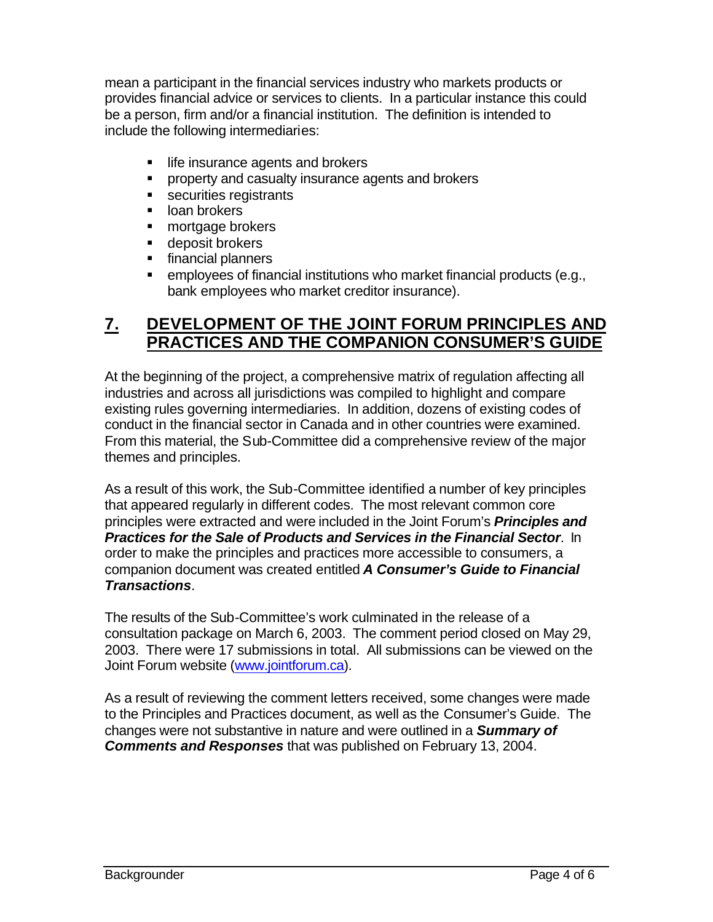mean a participant in the financial services industry who markets products or provides financial advice or services to clients. In a particular instance this could be a person, firm and/or a financial institution. The definition is intended to include the following intermediaries:

- life insurance agents and brokers
- **•** property and casualty insurance agents and brokers
- **securities registrants**
- loan brokers
- mortgage brokers
- deposit brokers
- **financial planners**
- $\blacksquare$  employees of financial institutions who market financial products (e.g., bank employees who market creditor insurance).

#### **7. DEVELOPMENT OF THE JOINT FORUM PRINCIPLES AND PRACTICES AND THE COMPANION CONSUMER'S GUIDE**

At the beginning of the project, a comprehensive matrix of regulation affecting all industries and across all jurisdictions was compiled to highlight and compare existing rules governing intermediaries. In addition, dozens of existing codes of conduct in the financial sector in Canada and in other countries were examined. From this material, the Sub-Committee did a comprehensive review of the major themes and principles.

As a result of this work, the Sub-Committee identified a number of key principles that appeared regularly in different codes. The most relevant common core principles were extracted and were included in the Joint Forum's *Principles and Practices for the Sale of Products and Services in the Financial Sector*. In order to make the principles and practices more accessible to consumers, a companion document was created entitled *A Consumer's Guide to Financial Transactions*.

The results of the Sub-Committee's work culminated in the release of a consultation package on March 6, 2003. The comment period closed on May 29, 2003. There were 17 submissions in total. All submissions can be viewed on the Joint Forum website (www.jointforum.ca).

As a result of reviewing the comment letters received, some changes were made to the Principles and Practices document, as well as the Consumer's Guide. The changes were not substantive in nature and were outlined in a *Summary of Comments and Responses* that was published on February 13, 2004.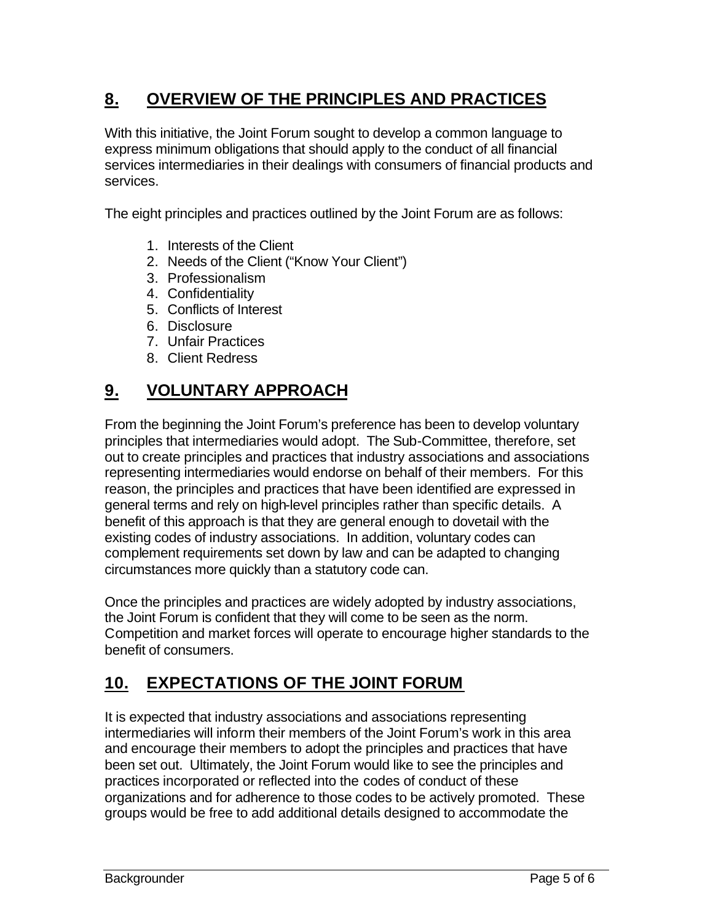## **8. OVERVIEW OF THE PRINCIPLES AND PRACTICES**

With this initiative, the Joint Forum sought to develop a common language to express minimum obligations that should apply to the conduct of all financial services intermediaries in their dealings with consumers of financial products and services.

The eight principles and practices outlined by the Joint Forum are as follows:

- 1. Interests of the Client
- 2. Needs of the Client ("Know Your Client")
- 3. Professionalism
- 4. Confidentiality
- 5. Conflicts of Interest
- 6. Disclosure
- 7. Unfair Practices
- 8. Client Redress

### **9. VOLUNTARY APPROACH**

From the beginning the Joint Forum's preference has been to develop voluntary principles that intermediaries would adopt. The Sub-Committee, therefore, set out to create principles and practices that industry associations and associations representing intermediaries would endorse on behalf of their members. For this reason, the principles and practices that have been identified are expressed in general terms and rely on high-level principles rather than specific details. A benefit of this approach is that they are general enough to dovetail with the existing codes of industry associations. In addition, voluntary codes can complement requirements set down by law and can be adapted to changing circumstances more quickly than a statutory code can.

Once the principles and practices are widely adopted by industry associations, the Joint Forum is confident that they will come to be seen as the norm. Competition and market forces will operate to encourage higher standards to the benefit of consumers.

### **10. EXPECTATIONS OF THE JOINT FORUM**

It is expected that industry associations and associations representing intermediaries will inform their members of the Joint Forum's work in this area and encourage their members to adopt the principles and practices that have been set out. Ultimately, the Joint Forum would like to see the principles and practices incorporated or reflected into the codes of conduct of these organizations and for adherence to those codes to be actively promoted. These groups would be free to add additional details designed to accommodate the